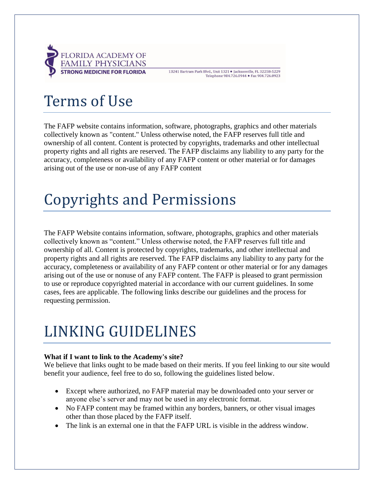

13241 Bartram Park Blvd., Unit 1321 · Jacksonville, FL 32258-5229 Telephone 904.726.0944 · Fax 904.726.0923

# Terms of Use

The FAFP website contains information, software, photographs, graphics and other materials collectively known as "content." Unless otherwise noted, the FAFP reserves full title and ownership of all content. Content is protected by copyrights, trademarks and other intellectual property rights and all rights are reserved. The FAFP disclaims any liability to any party for the accuracy, completeness or availability of any FAFP content or other material or for damages arising out of the use or non-use of any FAFP content

### Copyrights and Permissions

The FAFP Website contains information, software, photographs, graphics and other materials collectively known as "content." Unless otherwise noted, the FAFP reserves full title and ownership of all. Content is protected by copyrights, trademarks, and other intellectual and property rights and all rights are reserved. The FAFP disclaims any liability to any party for the accuracy, completeness or availability of any FAFP content or other material or for any damages arising out of the use or nonuse of any FAFP content. The FAFP is pleased to grant permission to use or reproduce copyrighted material in accordance with our current guidelines. In some cases, fees are applicable. The following links describe our guidelines and the process for requesting permission.

## LINKING GUIDELINES

### **What if I want to link to the Academy's site?**

We believe that links ought to be made based on their merits. If you feel linking to our site would benefit your audience, feel free to do so, following the guidelines listed below.

- Except where authorized, no FAFP material may be downloaded onto your server or anyone else's server and may not be used in any electronic format.
- No FAFP content may be framed within any borders, banners, or other visual images other than those placed by the FAFP itself.
- The link is an external one in that the FAFP URL is visible in the address window.